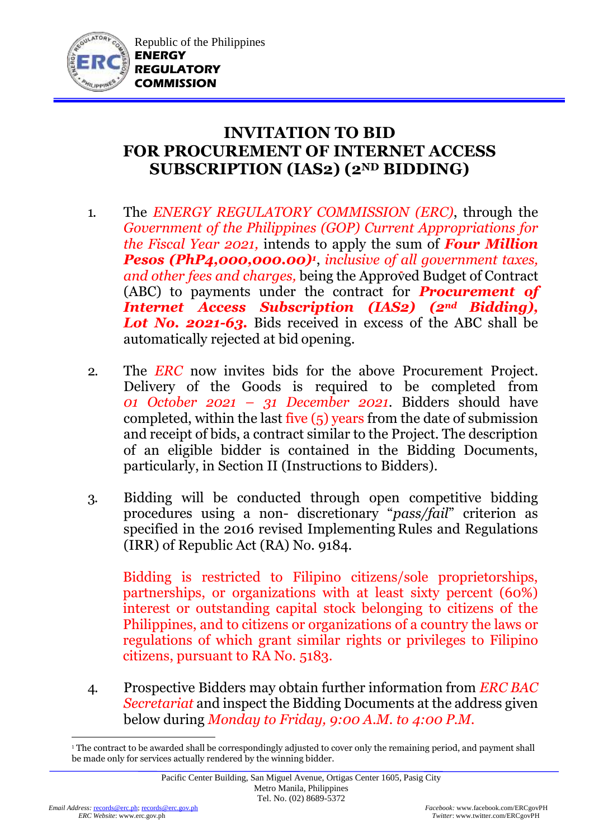

## **INVITATION TO BID FOR PROCUREMENT OF INTERNET ACCESS SUBSCRIPTION (IAS2) (2ND BIDDING)**

- 1. The *ENERGY REGULATORY COMMISSION (ERC)*, through the *Government of the Philippines (GOP) Current Appropriations for the Fiscal Year 2021,* intends to apply the sum of *Four Million Pesos (PhP4,000,000.00)<sup>1</sup>* , *inclusive of all government taxes, and other fees and charges,* being the Approved Budget of Contract (ABC) to payments under the contract for *Procurement of Internet Access Subscription (IAS2) (2nd Bidding), Lot No. 2021-63.* Bids received in excess of the ABC shall be automatically rejected at bid opening.
- 2. The *ERC* now invites bids for the above Procurement Project. Delivery of the Goods is required to be completed from *01 October 2021 – 31 December 2021*. Bidders should have completed, within the last five (5) years from the date of submission and receipt of bids, a contract similar to the Project. The description of an eligible bidder is contained in the Bidding Documents, particularly, in Section II (Instructions to Bidders).
- 3. Bidding will be conducted through open competitive bidding procedures using a non- discretionary "*pass/fail*" criterion as specified in the 2016 revised Implementing Rules and Regulations (IRR) of Republic Act (RA) No. 9184.

Bidding is restricted to Filipino citizens/sole proprietorships, partnerships, or organizations with at least sixty percent (60%) interest or outstanding capital stock belonging to citizens of the Philippines, and to citizens or organizations of a country the laws or regulations of which grant similar rights or privileges to Filipino citizens, pursuant to RA No. 5183.

4. Prospective Bidders may obtain further information from *ERC BAC Secretariat* and inspect the Bidding Documents at the address given below during *Monday to Friday, 9:00 A.M. to 4:00 P.M*.

<sup>1</sup> <sup>1</sup> The contract to be awarded shall be correspondingly adjusted to cover only the remaining period, and payment shall be made only for services actually rendered by the winning bidder.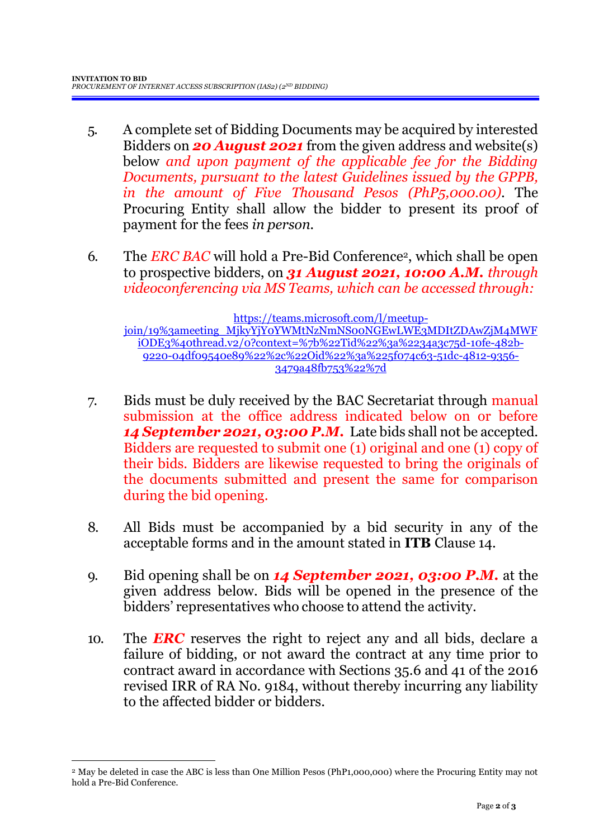- 5. A complete set of Bidding Documents may be acquired by interested Bidders on *20 August 2021* from the given address and website(s) below *and upon payment of the applicable fee for the Bidding Documents, pursuant to the latest Guidelines issued by the GPPB, in the amount of Five Thousand Pesos (PhP5,000.00)*. The Procuring Entity shall allow the bidder to present its proof of payment for the fees *in person.*
- 6. The *ERC BAC* will hold a Pre-Bid Conference2, which shall be open to prospective bidders, on *31 August 2021, 10:00 A.M. through videoconferencing via MS Teams, which can be accessed through:*

[https://teams.microsoft.com/l/meetup](https://teams.microsoft.com/l/meetup-join/19%3ameeting_MjkyYjY0YWMtNzNmNS00NGEwLWE3MDItZDAwZjM4MWFiODE3%40thread.v2/0?context=%7b%22Tid%22%3a%2234a3c75d-10fe-482b-9220-04df09540e89%22%2c%22Oid%22%3a%225f074c63-51dc-4812-9356-3479a48fb753%22%7d)[join/19%3ameeting\\_MjkyYjY0YWMtNzNmNS00NGEwLWE3MDItZDAwZjM4MWF](https://teams.microsoft.com/l/meetup-join/19%3ameeting_MjkyYjY0YWMtNzNmNS00NGEwLWE3MDItZDAwZjM4MWFiODE3%40thread.v2/0?context=%7b%22Tid%22%3a%2234a3c75d-10fe-482b-9220-04df09540e89%22%2c%22Oid%22%3a%225f074c63-51dc-4812-9356-3479a48fb753%22%7d) [iODE3%40thread.v2/0?context=%7b%22Tid%22%3a%2234a3c75d-10fe-482b-](https://teams.microsoft.com/l/meetup-join/19%3ameeting_MjkyYjY0YWMtNzNmNS00NGEwLWE3MDItZDAwZjM4MWFiODE3%40thread.v2/0?context=%7b%22Tid%22%3a%2234a3c75d-10fe-482b-9220-04df09540e89%22%2c%22Oid%22%3a%225f074c63-51dc-4812-9356-3479a48fb753%22%7d)[9220-04df09540e89%22%2c%22Oid%22%3a%225f074c63-51dc-4812-9356-](https://teams.microsoft.com/l/meetup-join/19%3ameeting_MjkyYjY0YWMtNzNmNS00NGEwLWE3MDItZDAwZjM4MWFiODE3%40thread.v2/0?context=%7b%22Tid%22%3a%2234a3c75d-10fe-482b-9220-04df09540e89%22%2c%22Oid%22%3a%225f074c63-51dc-4812-9356-3479a48fb753%22%7d) [3479a48fb753%22%7d](https://teams.microsoft.com/l/meetup-join/19%3ameeting_MjkyYjY0YWMtNzNmNS00NGEwLWE3MDItZDAwZjM4MWFiODE3%40thread.v2/0?context=%7b%22Tid%22%3a%2234a3c75d-10fe-482b-9220-04df09540e89%22%2c%22Oid%22%3a%225f074c63-51dc-4812-9356-3479a48fb753%22%7d)

- 7. Bids must be duly received by the BAC Secretariat through manual submission at the office address indicated below on or before *14 September 2021, 03:00 P.M.* Late bids shall not be accepted. Bidders are requested to submit one (1) original and one (1) copy of their bids. Bidders are likewise requested to bring the originals of the documents submitted and present the same for comparison during the bid opening.
- 8. All Bids must be accompanied by a bid security in any of the acceptable forms and in the amount stated in **ITB** Clause 14.
- 9. Bid opening shall be on *14 September 2021, 03:00 P.M.* at the given address below. Bids will be opened in the presence of the bidders' representatives who choose to attend the activity.
- 10. The *ERC* reserves the right to reject any and all bids, declare a failure of bidding, or not award the contract at any time prior to contract award in accordance with Sections 35.6 and 41 of the 2016 revised IRR of RA No. 9184, without thereby incurring any liability to the affected bidder or bidders.

1

<sup>2</sup> May be deleted in case the ABC is less than One Million Pesos (PhP1,000,000) where the Procuring Entity may not hold a Pre-Bid Conference.